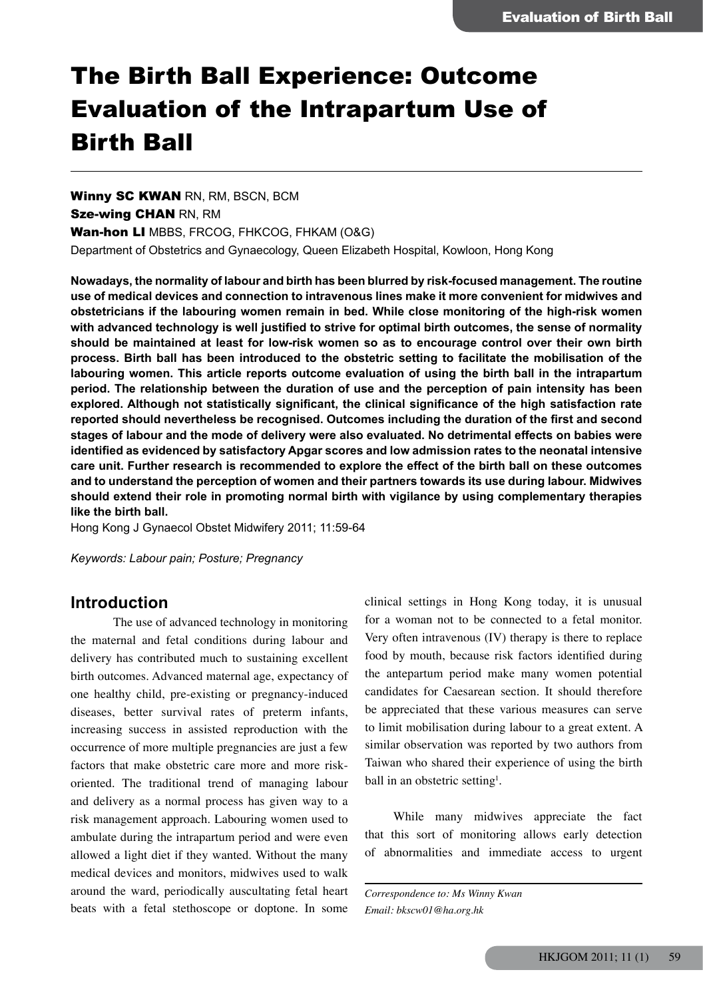# The Birth Ball Experience: Outcome Evaluation of the Intrapartum Use of Birth Ball

Winny SC KWAN RN, RM, BSCN, BCM Sze-wing CHAN RN, RM Wan-hon LI MBBS, FRCOG, FHKCOG, FHKAM (O&G) Department of Obstetrics and Gynaecology, Queen Elizabeth Hospital, Kowloon, Hong Kong

**Nowadays, the normality of labour and birth has been blurred by risk-focused management. The routine use of medical devices and connection to intravenous lines make it more convenient for midwives and obstetricians if the labouring women remain in bed. While close monitoring of the high-risk women with advanced technology is well justified to strive for optimal birth outcomes, the sense of normality should be maintained at least for low-risk women so as to encourage control over their own birth process. Birth ball has been introduced to the obstetric setting to facilitate the mobilisation of the labouring women. This article reports outcome evaluation of using the birth ball in the intrapartum period. The relationship between the duration of use and the perception of pain intensity has been explored. Although not statistically significant, the clinical significance of the high satisfaction rate reported should nevertheless be recognised. Outcomes including the duration of the first and second stages of labour and the mode of delivery were also evaluated. No detrimental effects on babies were identified as evidenced by satisfactory Apgar scores and low admission rates to the neonatal intensive care unit. Further research is recommended to explore the effect of the birth ball on these outcomes and to understand the perception of women and their partners towards its use during labour. Midwives should extend their role in promoting normal birth with vigilance by using complementary therapies like the birth ball.**

Hong Kong J Gynaecol Obstet Midwifery 2011; 11:59-64

*Keywords: Labour pain; Posture; Pregnancy*

#### **Introduction**

 The use of advanced technology in monitoring the maternal and fetal conditions during labour and delivery has contributed much to sustaining excellent birth outcomes. Advanced maternal age, expectancy of one healthy child, pre-existing or pregnancy-induced diseases, better survival rates of preterm infants, increasing success in assisted reproduction with the occurrence of more multiple pregnancies are just a few factors that make obstetric care more and more riskoriented. The traditional trend of managing labour and delivery as a normal process has given way to a risk management approach. Labouring women used to ambulate during the intrapartum period and were even allowed a light diet if they wanted. Without the many medical devices and monitors, midwives used to walk around the ward, periodically auscultating fetal heart beats with a fetal stethoscope or doptone. In some clinical settings in Hong Kong today, it is unusual for a woman not to be connected to a fetal monitor. Very often intravenous (IV) therapy is there to replace food by mouth, because risk factors identified during the antepartum period make many women potential candidates for Caesarean section. It should therefore be appreciated that these various measures can serve to limit mobilisation during labour to a great extent. A similar observation was reported by two authors from Taiwan who shared their experience of using the birth ball in an obstetric setting<sup>1</sup>.

While many midwives appreciate the fact that this sort of monitoring allows early detection of abnormalities and immediate access to urgent

*Correspondence to: Ms Winny Kwan Email: bkscw01@ha.org.hk*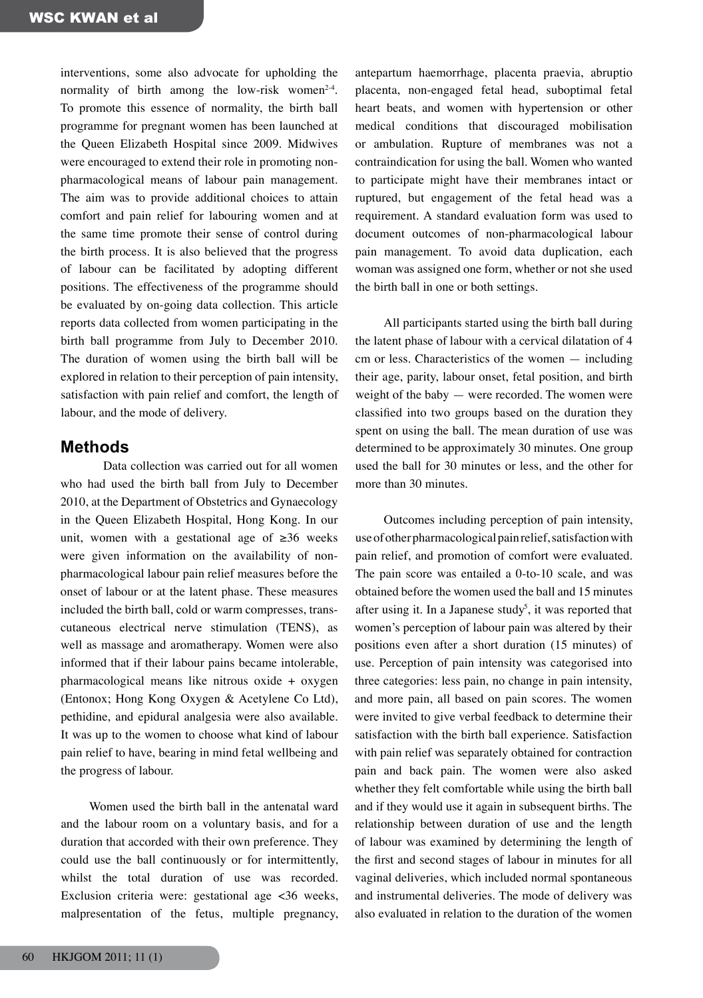interventions, some also advocate for upholding the normality of birth among the low-risk women<sup>2-4</sup>. To promote this essence of normality, the birth ball programme for pregnant women has been launched at the Queen Elizabeth Hospital since 2009. Midwives were encouraged to extend their role in promoting nonpharmacological means of labour pain management. The aim was to provide additional choices to attain comfort and pain relief for labouring women and at the same time promote their sense of control during the birth process. It is also believed that the progress of labour can be facilitated by adopting different positions. The effectiveness of the programme should be evaluated by on-going data collection. This article reports data collected from women participating in the birth ball programme from July to December 2010. The duration of women using the birth ball will be explored in relation to their perception of pain intensity, satisfaction with pain relief and comfort, the length of labour, and the mode of delivery.

#### **Methods**

Data collection was carried out for all women who had used the birth ball from July to December 2010, at the Department of Obstetrics and Gynaecology in the Queen Elizabeth Hospital, Hong Kong. In our unit, women with a gestational age of  $\geq 36$  weeks were given information on the availability of nonpharmacological labour pain relief measures before the onset of labour or at the latent phase. These measures included the birth ball, cold or warm compresses, transcutaneous electrical nerve stimulation (TENS), as well as massage and aromatherapy. Women were also informed that if their labour pains became intolerable, pharmacological means like nitrous oxide + oxygen (Entonox; Hong Kong Oxygen & Acetylene Co Ltd), pethidine, and epidural analgesia were also available. It was up to the women to choose what kind of labour pain relief to have, bearing in mind fetal wellbeing and the progress of labour.

Women used the birth ball in the antenatal ward and the labour room on a voluntary basis, and for a duration that accorded with their own preference. They could use the ball continuously or for intermittently, whilst the total duration of use was recorded. Exclusion criteria were: gestational age <36 weeks, malpresentation of the fetus, multiple pregnancy,

antepartum haemorrhage, placenta praevia, abruptio placenta, non-engaged fetal head, suboptimal fetal heart beats, and women with hypertension or other medical conditions that discouraged mobilisation or ambulation. Rupture of membranes was not a contraindication for using the ball. Women who wanted to participate might have their membranes intact or ruptured, but engagement of the fetal head was a requirement. A standard evaluation form was used to document outcomes of non-pharmacological labour pain management. To avoid data duplication, each woman was assigned one form, whether or not she used the birth ball in one or both settings.

All participants started using the birth ball during the latent phase of labour with a cervical dilatation of 4 cm or less. Characteristics of the women — including their age, parity, labour onset, fetal position, and birth weight of the baby — were recorded. The women were classified into two groups based on the duration they spent on using the ball. The mean duration of use was determined to be approximately 30 minutes. One group used the ball for 30 minutes or less, and the other for more than 30 minutes.

Outcomes including perception of pain intensity, use of other pharmacological pain relief, satisfaction with pain relief, and promotion of comfort were evaluated. The pain score was entailed a 0-to-10 scale, and was obtained before the women used the ball and 15 minutes after using it. In a Japanese study<sup>5</sup>, it was reported that women's perception of labour pain was altered by their positions even after a short duration (15 minutes) of use. Perception of pain intensity was categorised into three categories: less pain, no change in pain intensity, and more pain, all based on pain scores. The women were invited to give verbal feedback to determine their satisfaction with the birth ball experience. Satisfaction with pain relief was separately obtained for contraction pain and back pain. The women were also asked whether they felt comfortable while using the birth ball and if they would use it again in subsequent births. The relationship between duration of use and the length of labour was examined by determining the length of the first and second stages of labour in minutes for all vaginal deliveries, which included normal spontaneous and instrumental deliveries. The mode of delivery was also evaluated in relation to the duration of the women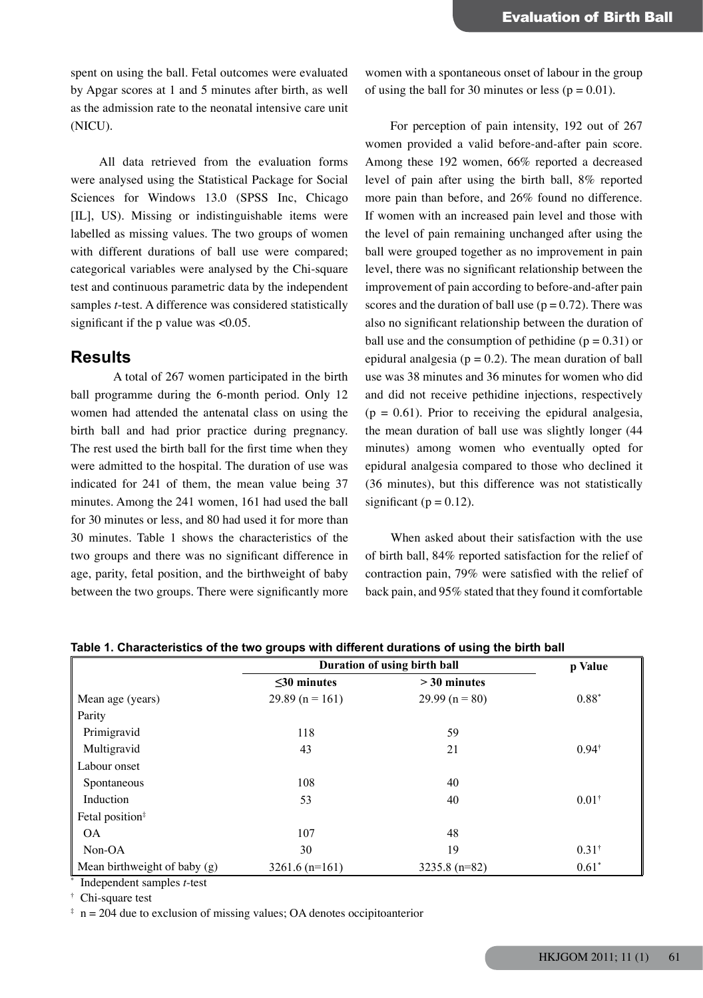spent on using the ball. Fetal outcomes were evaluated by Apgar scores at 1 and 5 minutes after birth, as well as the admission rate to the neonatal intensive care unit (NICU).

All data retrieved from the evaluation forms were analysed using the Statistical Package for Social Sciences for Windows 13.0 (SPSS Inc, Chicago [IL], US). Missing or indistinguishable items were labelled as missing values. The two groups of women with different durations of ball use were compared; categorical variables were analysed by the Chi-square test and continuous parametric data by the independent samples *t*-test. A difference was considered statistically significant if the p value was <0.05.

#### **Results**

 A total of 267 women participated in the birth ball programme during the 6-month period. Only 12 women had attended the antenatal class on using the birth ball and had prior practice during pregnancy. The rest used the birth ball for the first time when they were admitted to the hospital. The duration of use was indicated for 241 of them, the mean value being 37 minutes. Among the 241 women, 161 had used the ball for 30 minutes or less, and 80 had used it for more than 30 minutes. Table 1 shows the characteristics of the two groups and there was no significant difference in age, parity, fetal position, and the birthweight of baby between the two groups. There were significantly more

women with a spontaneous onset of labour in the group of using the ball for 30 minutes or less ( $p = 0.01$ ).

For perception of pain intensity, 192 out of 267 women provided a valid before-and-after pain score. Among these 192 women, 66% reported a decreased level of pain after using the birth ball, 8% reported more pain than before, and 26% found no difference. If women with an increased pain level and those with the level of pain remaining unchanged after using the ball were grouped together as no improvement in pain level, there was no significant relationship between the improvement of pain according to before-and-after pain scores and the duration of ball use ( $p = 0.72$ ). There was also no significant relationship between the duration of ball use and the consumption of pethidine  $(p = 0.31)$  or epidural analgesia ( $p = 0.2$ ). The mean duration of ball use was 38 minutes and 36 minutes for women who did and did not receive pethidine injections, respectively  $(p = 0.61)$ . Prior to receiving the epidural analgesia, the mean duration of ball use was slightly longer (44 minutes) among women who eventually opted for epidural analgesia compared to those who declined it (36 minutes), but this difference was not statistically significant ( $p = 0.12$ ).

When asked about their satisfaction with the use of birth ball, 84% reported satisfaction for the relief of contraction pain, 79% were satisfied with the relief of back pain, and 95% stated that they found it comfortable

|                                | Duration of using birth ball |                    | p Value          |
|--------------------------------|------------------------------|--------------------|------------------|
|                                | $<$ 30 minutes               | $>$ 30 minutes     |                  |
| Mean age (years)               | 29.89 ( $n = 161$ )          | 29.99 ( $n = 80$ ) | $0.88*$          |
| Parity                         |                              |                    |                  |
| Primigravid                    | 118                          | 59                 |                  |
| Multigravid                    | 43                           | 21                 | $0.94^{\dagger}$ |
| Labour onset                   |                              |                    |                  |
| Spontaneous                    | 108                          | 40                 |                  |
| Induction                      | 53                           | 40                 | $0.01^*$         |
| Fetal position <sup>#</sup>    |                              |                    |                  |
| <b>OA</b>                      | 107                          | 48                 |                  |
| Non-OA                         | 30                           | 19                 | $0.31^*$         |
| Mean birthweight of baby $(g)$ | $3261.6$ (n=161)             | $3235.8$ (n=82)    | $0.61*$          |

**Table 1. Characteristics of the two groups with different durations of using the birth ball**

\* Independent samples *t*-test

† Chi-square test

 $\pm$  n = 204 due to exclusion of missing values; OA denotes occipitoanterior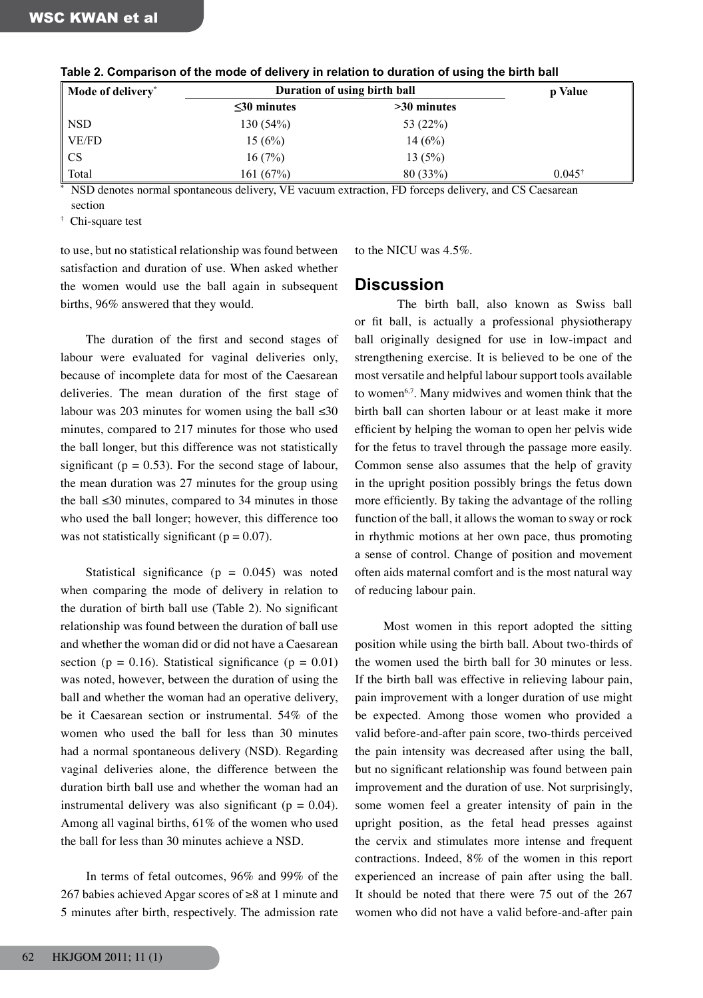| Mode of delivery* | Duration of using birth ball |               | p Value           |
|-------------------|------------------------------|---------------|-------------------|
|                   | $\leq$ 30 minutes            | $>30$ minutes |                   |
| <b>NSD</b>        | 130(54%)                     | 53 (22%)      |                   |
| VE/FD             | 15(6%)                       | 14(6%)        |                   |
| <b>CS</b>         | 16(7%)                       | 13(5%)        |                   |
| Total             | 161(67%)                     | 80(33%)       | $0.045^{\dagger}$ |

**Table 2. Comparison of the mode of delivery in relation to duration of using the birth ball**

**\*** NSD denotes normal spontaneous delivery, VE vacuum extraction, FD forceps delivery, and CS Caesarean section

† Chi-square test

to use, but no statistical relationship was found between satisfaction and duration of use. When asked whether the women would use the ball again in subsequent births, 96% answered that they would.

The duration of the first and second stages of labour were evaluated for vaginal deliveries only, because of incomplete data for most of the Caesarean deliveries. The mean duration of the first stage of labour was 203 minutes for women using the ball  $\leq 30$ minutes, compared to 217 minutes for those who used the ball longer, but this difference was not statistically significant ( $p = 0.53$ ). For the second stage of labour, the mean duration was 27 minutes for the group using the ball  $\leq 30$  minutes, compared to 34 minutes in those who used the ball longer; however, this difference too was not statistically significant ( $p = 0.07$ ).

Statistical significance ( $p = 0.045$ ) was noted when comparing the mode of delivery in relation to the duration of birth ball use (Table 2). No significant relationship was found between the duration of ball use and whether the woman did or did not have a Caesarean section ( $p = 0.16$ ). Statistical significance ( $p = 0.01$ ) was noted, however, between the duration of using the ball and whether the woman had an operative delivery, be it Caesarean section or instrumental. 54% of the women who used the ball for less than 30 minutes had a normal spontaneous delivery (NSD). Regarding vaginal deliveries alone, the difference between the duration birth ball use and whether the woman had an instrumental delivery was also significant ( $p = 0.04$ ). Among all vaginal births, 61% of the women who used the ball for less than 30 minutes achieve a NSD.

In terms of fetal outcomes, 96% and 99% of the 267 babies achieved Apgar scores of ≥8 at 1 minute and 5 minutes after birth, respectively. The admission rate to the NICU was 4.5%.

#### **Discussion**

The birth ball, also known as Swiss ball or fit ball, is actually a professional physiotherapy ball originally designed for use in low-impact and strengthening exercise. It is believed to be one of the most versatile and helpful labour support tools available to women<sup>6,7</sup>. Many midwives and women think that the birth ball can shorten labour or at least make it more efficient by helping the woman to open her pelvis wide for the fetus to travel through the passage more easily. Common sense also assumes that the help of gravity in the upright position possibly brings the fetus down more efficiently. By taking the advantage of the rolling function of the ball, it allows the woman to sway or rock in rhythmic motions at her own pace, thus promoting a sense of control. Change of position and movement often aids maternal comfort and is the most natural way of reducing labour pain.

Most women in this report adopted the sitting position while using the birth ball. About two-thirds of the women used the birth ball for 30 minutes or less. If the birth ball was effective in relieving labour pain, pain improvement with a longer duration of use might be expected. Among those women who provided a valid before-and-after pain score, two-thirds perceived the pain intensity was decreased after using the ball, but no significant relationship was found between pain improvement and the duration of use. Not surprisingly, some women feel a greater intensity of pain in the upright position, as the fetal head presses against the cervix and stimulates more intense and frequent contractions. Indeed, 8% of the women in this report experienced an increase of pain after using the ball. It should be noted that there were 75 out of the 267 women who did not have a valid before-and-after pain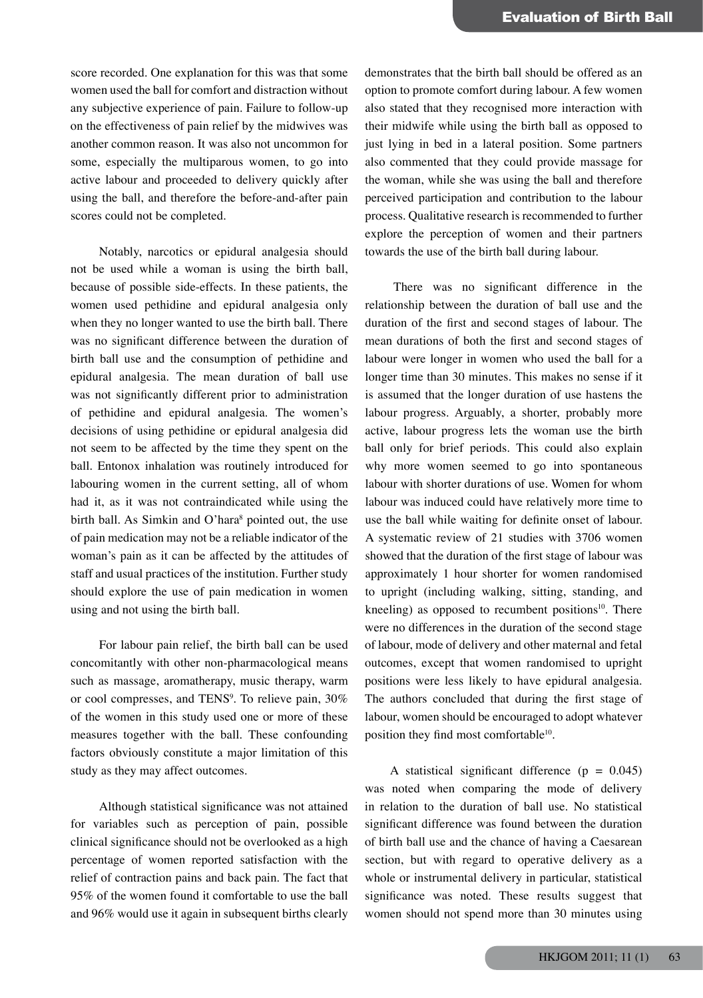score recorded. One explanation for this was that some women used the ball for comfort and distraction without any subjective experience of pain. Failure to follow-up on the effectiveness of pain relief by the midwives was another common reason. It was also not uncommon for some, especially the multiparous women, to go into active labour and proceeded to delivery quickly after using the ball, and therefore the before-and-after pain scores could not be completed.

Notably, narcotics or epidural analgesia should not be used while a woman is using the birth ball, because of possible side-effects. In these patients, the women used pethidine and epidural analgesia only when they no longer wanted to use the birth ball. There was no significant difference between the duration of birth ball use and the consumption of pethidine and epidural analgesia. The mean duration of ball use was not significantly different prior to administration of pethidine and epidural analgesia. The women's decisions of using pethidine or epidural analgesia did not seem to be affected by the time they spent on the ball. Entonox inhalation was routinely introduced for labouring women in the current setting, all of whom had it, as it was not contraindicated while using the birth ball. As Simkin and O'hara<sup>8</sup> pointed out, the use of pain medication may not be a reliable indicator of the woman's pain as it can be affected by the attitudes of staff and usual practices of the institution. Further study should explore the use of pain medication in women using and not using the birth ball.

For labour pain relief, the birth ball can be used concomitantly with other non-pharmacological means such as massage, aromatherapy, music therapy, warm or cool compresses, and TENS<sup>9</sup>. To relieve pain, 30% of the women in this study used one or more of these measures together with the ball. These confounding factors obviously constitute a major limitation of this study as they may affect outcomes.

Although statistical significance was not attained for variables such as perception of pain, possible clinical significance should not be overlooked as a high percentage of women reported satisfaction with the relief of contraction pains and back pain. The fact that 95% of the women found it comfortable to use the ball and 96% would use it again in subsequent births clearly

demonstrates that the birth ball should be offered as an option to promote comfort during labour. A few women also stated that they recognised more interaction with their midwife while using the birth ball as opposed to just lying in bed in a lateral position. Some partners also commented that they could provide massage for the woman, while she was using the ball and therefore perceived participation and contribution to the labour process. Qualitative research is recommended to further explore the perception of women and their partners towards the use of the birth ball during labour.

There was no significant difference in the relationship between the duration of ball use and the duration of the first and second stages of labour. The mean durations of both the first and second stages of labour were longer in women who used the ball for a longer time than 30 minutes. This makes no sense if it is assumed that the longer duration of use hastens the labour progress. Arguably, a shorter, probably more active, labour progress lets the woman use the birth ball only for brief periods. This could also explain why more women seemed to go into spontaneous labour with shorter durations of use. Women for whom labour was induced could have relatively more time to use the ball while waiting for definite onset of labour. A systematic review of 21 studies with 3706 women showed that the duration of the first stage of labour was approximately 1 hour shorter for women randomised to upright (including walking, sitting, standing, and kneeling) as opposed to recumbent positions $10$ . There were no differences in the duration of the second stage of labour, mode of delivery and other maternal and fetal outcomes, except that women randomised to upright positions were less likely to have epidural analgesia. The authors concluded that during the first stage of labour, women should be encouraged to adopt whatever position they find most comfortable $10$ .

A statistical significant difference  $(p = 0.045)$ was noted when comparing the mode of delivery in relation to the duration of ball use. No statistical significant difference was found between the duration of birth ball use and the chance of having a Caesarean section, but with regard to operative delivery as a whole or instrumental delivery in particular, statistical significance was noted. These results suggest that women should not spend more than 30 minutes using